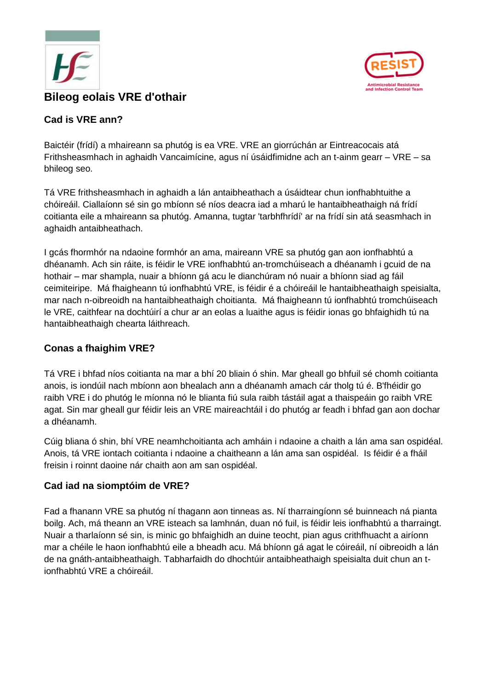



## **Cad is VRE ann?**

Baictéir (frídí) a mhaireann sa phutóg is ea VRE. VRE an giorrúchán ar Eintreacocais atá Frithsheasmhach in aghaidh Vancaimícine, agus ní úsáidfimidne ach an t-ainm gearr – VRE – sa bhileog seo.

Tá VRE frithsheasmhach in aghaidh a lán antaibheathach a úsáidtear chun ionfhabhtuithe a chóireáil. Ciallaíonn sé sin go mbíonn sé níos deacra iad a mharú le hantaibheathaigh ná frídí coitianta eile a mhaireann sa phutóg. Amanna, tugtar 'tarbhfhrídí' ar na frídí sin atá seasmhach in aghaidh antaibheathach.

I gcás fhormhór na ndaoine formhór an ama, maireann VRE sa phutóg gan aon ionfhabhtú a dhéanamh. Ach sin ráite, is féidir le VRE ionfhabhtú an-tromchúiseach a dhéanamh i gcuid de na hothair – mar shampla, nuair a bhíonn gá acu le dianchúram nó nuair a bhíonn siad ag fáil ceimiteiripe. Má fhaigheann tú ionfhabhtú VRE, is féidir é a chóireáil le hantaibheathaigh speisialta, mar nach n-oibreoidh na hantaibheathaigh choitianta. Má fhaigheann tú ionfhabhtú tromchúiseach le VRE, caithfear na dochtúirí a chur ar an eolas a luaithe agus is féidir ionas go bhfaighidh tú na hantaibheathaigh chearta láithreach.

### **Conas a fhaighim VRE?**

Tá VRE i bhfad níos coitianta na mar a bhí 20 bliain ó shin. Mar gheall go bhfuil sé chomh coitianta anois, is iondúil nach mbíonn aon bhealach ann a dhéanamh amach cár tholg tú é. B'fhéidir go raibh VRE i do phutóg le míonna nó le blianta fiú sula raibh tástáil agat a thaispeáin go raibh VRE agat. Sin mar gheall gur féidir leis an VRE maireachtáil i do phutóg ar feadh i bhfad gan aon dochar a dhéanamh.

Cúig bliana ó shin, bhí VRE neamhchoitianta ach amháin i ndaoine a chaith a lán ama san ospidéal. Anois, tá VRE iontach coitianta i ndaoine a chaitheann a lán ama san ospidéal. Is féidir é a fháil freisin i roinnt daoine nár chaith aon am san ospidéal.

# **Cad iad na siomptóim de VRE?**

Fad a fhanann VRE sa phutóg ní thagann aon tinneas as. Ní tharraingíonn sé buinneach ná pianta boilg. Ach, má theann an VRE isteach sa lamhnán, duan nó fuil, is féidir leis ionfhabhtú a tharraingt. Nuair a tharlaíonn sé sin, is minic go bhfaighidh an duine teocht, pian agus crithfhuacht a airíonn mar a chéile le haon ionfhabhtú eile a bheadh acu. Má bhíonn gá agat le cóireáil, ní oibreoidh a lán de na gnáth-antaibheathaigh. Tabharfaidh do dhochtúir antaibheathaigh speisialta duit chun an tionfhabhtú VRE a chóireáil.